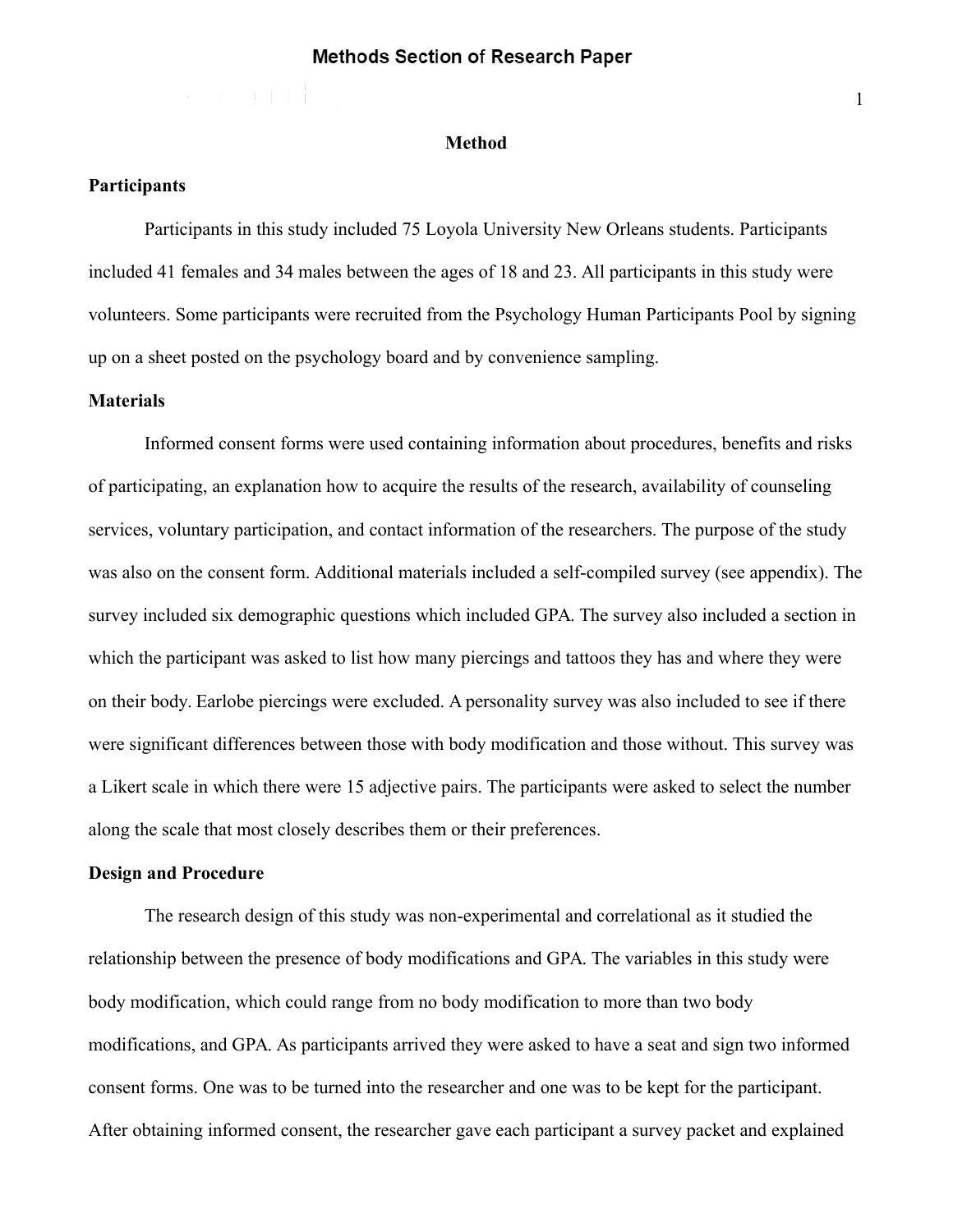### **Methods Section of Research Paper**

Type something ...

#### **Method**

#### **Participants**

Participants in this study included 75 Loyola University New Orleans students. Participants included 41 females and 34 males between the ages of 18 and 23. All participants in this study were volunteers. Some participants were recruited from the Psychology Human Participants Pool by signing up on a sheet posted on the psychology board and by convenience sampling.

#### **Materials**

Informed consent forms were used containing information about procedures, benefits and risks of participating, an explanation how to acquire the results of the research, availability of counseling services, voluntary participation, and contact information of the researchers. The purpose of the study was also on the consent form. Additional materials included a self-compiled survey (see appendix). The survey included six demographic questions which included GPA. The survey also included a section in which the participant was asked to list how many piercings and tattoos they has and where they were on their body. Earlobe piercings were excluded. A personality survey was also included to see if there were significant differences between those with body modification and those without. This survey was a Likert scale in which there were 15 adjective pairs. The participants were asked to select the number along the scale that most closely describes them or their preferences.

#### **Design and Procedure**

The research design of this study was non-experimental and correlational as it studied the relationship between the presence of body modifications and GPA. The variables in this study were body modification, which could range from no body modification to more than two body modifications, and GPA. As participants arrived they were asked to have a seat and sign two informed consent forms. One was to be turned into the researcher and one was to be kept for the participant. After obtaining informed consent, the researcher gave each participant a survey packet and explained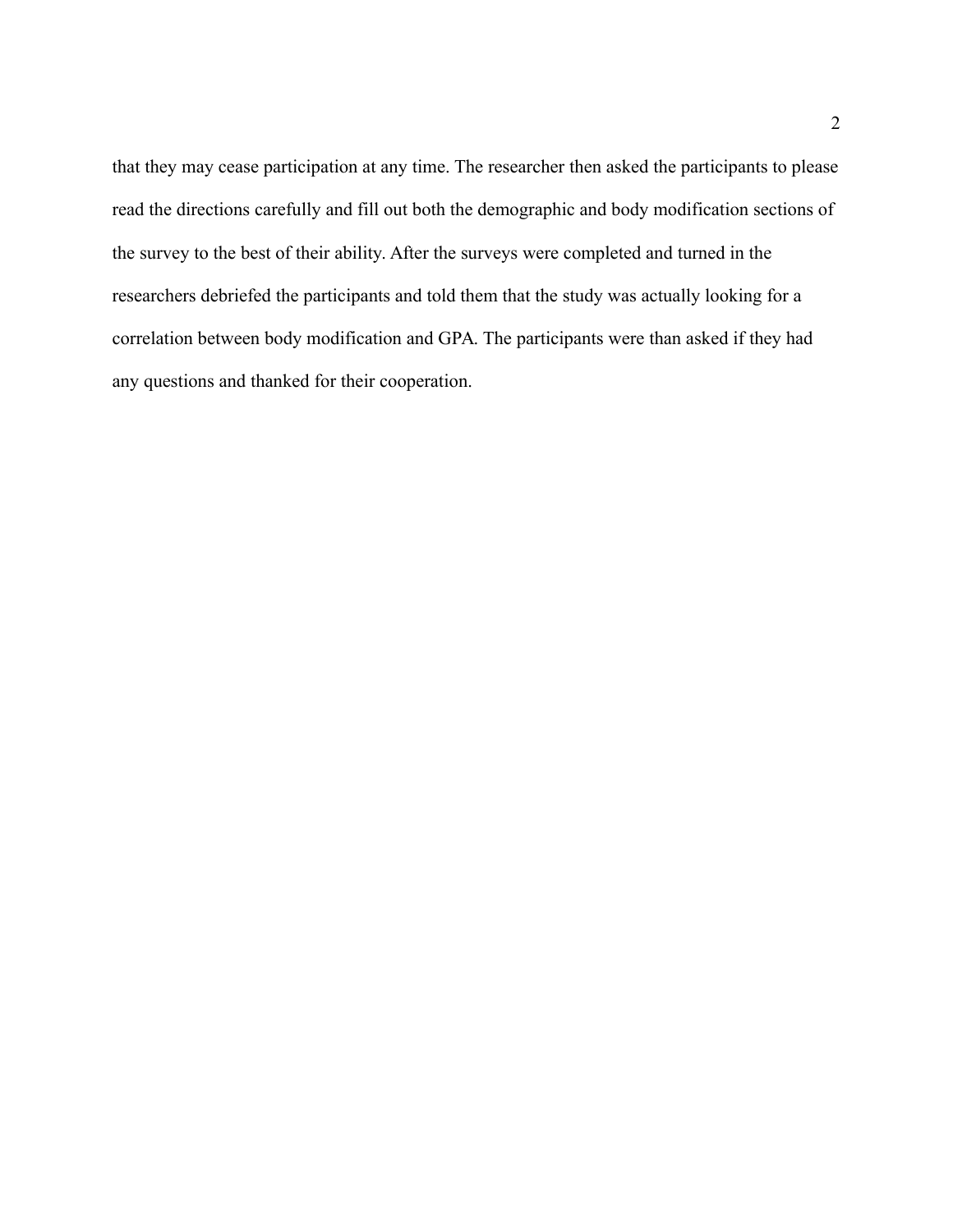that they may cease participation at any time. The researcher then asked the participants to please read the directions carefully and fill out both the demographic and body modification sections of the survey to the best of their ability. After the surveys were completed and turned in the researchers debriefed the participants and told them that the study was actually looking for a correlation between body modification and GPA. The participants were than asked if they had any questions and thanked for their cooperation.